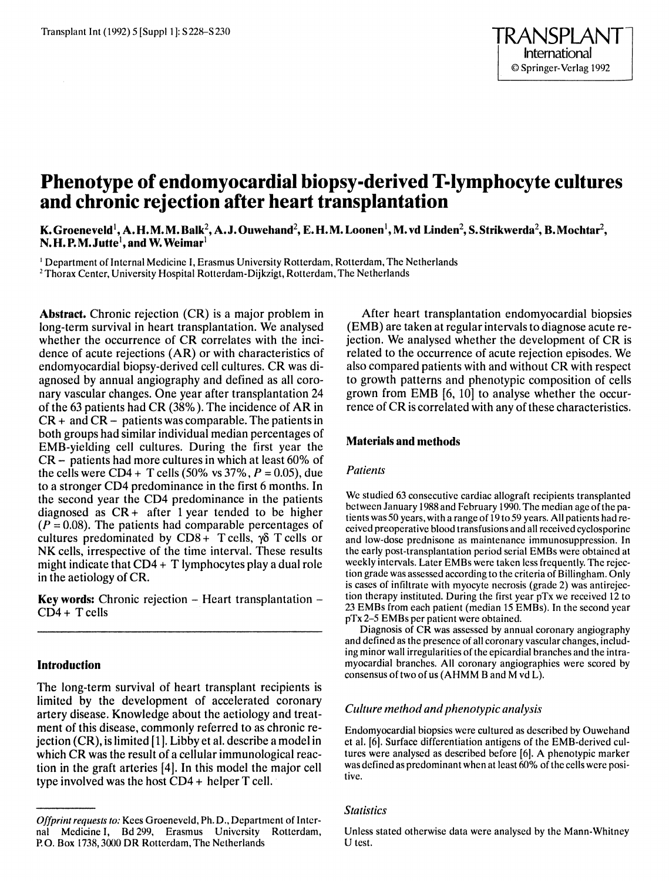# **Phenotype of endomyocardial biopsy-derived T-lymphocyte cultures and chronic rejection after heart transplantation**

**K. Groeneveld 1, A. H. M. M. Balk2, A.J. Ouwehand2, E. H. M. Loonen 1, M. vd Linden2, S. Strikwerda2, B. Mochtar2, N.H.P.M.Jutte1,and W. Weimar<sup>1</sup>**

1 Department of Internal Medicine I, Erasmus University Rotterdam, Rotterdam, The Netherlands <sup>2</sup> Thorax Center, University Hospital Rotterdam-Dijkzigt, Rotterdam, The Netherlands

**Abstract.** Chronic rejection (CR) is a major problem in long-term survival in heart transplantation. We analysed whether the occurrence of CR correlates with the incidence of acute rejections (AR) or with characteristics of endomyocardial biopsy-derived cell cultures. CR was diagnosed by annual angiography and defined as all coronary vascular changes. One year after transplantation 24 of the 63 patients had CR (38% ). The incidence of AR in  $CR + and CR - patients was comparable. The patients in$ both groups had similar individual median percentages of EMS-yielding cell cultures. During the first year the CR- patients had more cultures in which at least 60% of the cells were CD4 + T cells (50% vs  $37\%$ ,  $P = 0.05$ ), due to a stronger CD4 predominance in the first 6 months. In the second year the CD4 predominance in the patients diagnosed as  $CR +$  after 1 year tended to be higher  $(P = 0.08)$ . The patients had comparable percentages of cultures predominated by CD8+ T cells,  $\gamma$ <sup>5</sup> T cells or NK cells, irrespective of the time interval. These results might indicate that  $CD4 + T$  lymphocytes play a dual role in the aetiology of CR.

**Key words:** Chronic rejection – Heart transplantation –  $CD4 + T$  cells

# **Introduction**

The long-term survival of heart transplant recipients is limited by the development of accelerated coronary artery disease. Knowledge about the aetiology and treatment of this disease, commonly referred to as chronic rejection (CR), is limited (1 ]. Libby et al. describe a model in which CR was the result of a cellular immunological reaction in the graft arteries [ 4]. In this model the major cell type involved was the host  $CD4$  + helper T cell.

After heart transplantation endomyocardial biopsies (EMB) are taken at regular intervals to diagnose acute rejection. We analysed whether the development of CR is related to the occurrence of acute rejection episodes. We also compared patients with and without CR with respect to growth patterns and phenotypic composition of cells grown from EMB (6, 10] to analyse whether the occurrence of CR is correlated with any of these characteristics.

## **Materials and methods**

## *Patients*

We studied 63 consecutive cardiac allograft recipients transplanted between January 1988 and February 1990. The median age of the patients was 50 years, with a range of 19 to 59 years. All patients had received preoperative blood transfusions and all received cyclosporine and low-dose prednisone as maintenance immunosuppression. In the early post-transplantation period serial EMBs were obtained at weekly intervals. Later EMBs were taken less frequently. The rejection grade was assessed according to the criteria of Billingham. Only is cases of infiltrate with myocyte necrosis (grade 2) was antirejection therapy instituted. During the first year pTx we received 12 to 23 EMBs from each patient (median 15 EMBs). In the second year pTx 2-5 EMBs per patient were obtained.

Diagnosis of CR was assessed by annual coronary angiography and defined as the presence of all coronary vascular changes, including minor wall irregularities of the epicardial branches and the intramyocardial branches. All coronary angiographies were scored by consensus of two of us (AHMM B and M vd L).

#### *Culture method and phenotypic analysis*

Endomyocardial biopsies were cultured as described by Ouwehand et al. (6]. Surface differentiation antigens of the EMB-derived cultures were analysed as described before (6). A phenotypic marker was defined as predominant when at least 60% of the cells were positive.

# *Statistics*

Unless stated otherwise data were analysed by the Mann-Whitney U test.

*Offprint requests to:* Kees Groeneveld, Ph. D., Department of Internal Medicine I, Bd 299, Erasmus University Rotterdam, P.O. Box 1738,3000 DR Rotterdam, The Netherlands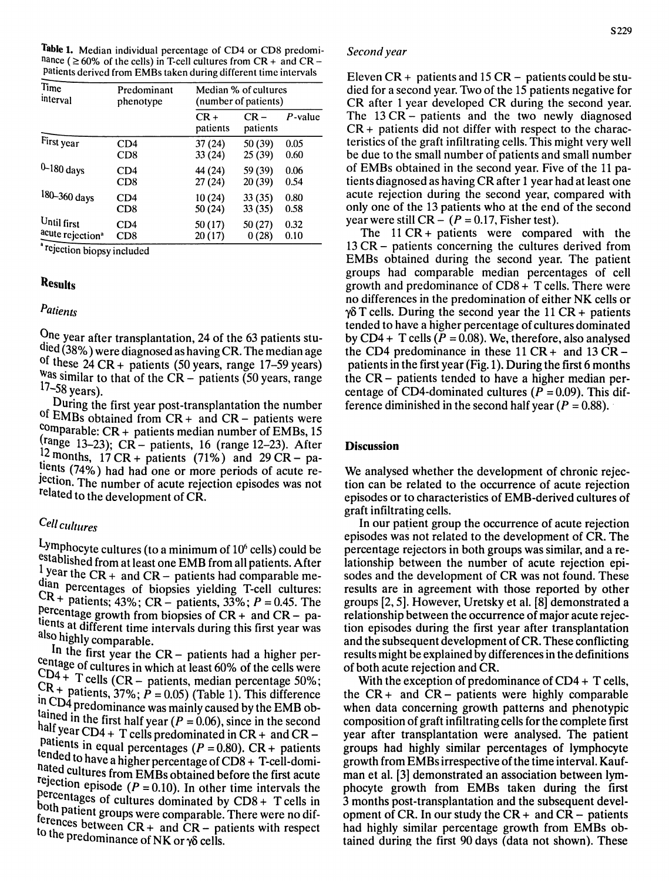Table 1. Median individual percentage of CD4 or CD8 predominance ( $\geq 60\%$  of the cells) in T-cell cultures from CR + and CR -Patients derived from EMBs taken during different time intervals

| l'ime<br>interval            | Predominant<br>phenotype | Median % of cultures<br>(number of patients) |                    |         |
|------------------------------|--------------------------|----------------------------------------------|--------------------|---------|
|                              |                          | $CR +$<br>patients                           | $CR -$<br>patients | P-value |
| First year                   | CD4                      | 37(24)                                       | 50 (39)            | 0.05    |
|                              | CD8                      | 33(24)                                       | 25(39)             | 0.60    |
| $0 - 180$ days               | CD4                      | 44 (24)                                      | 59 (39)            | 0.06    |
|                              | CD <sub>8</sub>          | 27(24)                                       | 20(39)             | 0.54    |
| 180-360 days                 | CD4                      | 10 (24)                                      | 33(35)             | 0.80    |
|                              | CD8                      | 50 (24)                                      | 33(35)             | 0.58    |
| Until first                  | CD4                      | 50(17)                                       | 50 (27)            | 0.32    |
| acute rejection <sup>a</sup> | CD8                      | 20(17)                                       | 0(28)              | 0.10    |

'rejection biopsy included

# Results

# *Patients*

One year after transplantation, 24 of the 63 patients studied (38%) were diagnosed as having CR. The median age of these  $24 \text{ CR} + \text{patients}$  (50 years, range 17-59 years)  $\frac{20}{100}$  as similar to that of the CR – patients (50 years, range  $17 - 58$  years).

During the first year post-transplantation the number of EMBs obtained from CR + and CR- patients were  $\frac{\text{comparable: CR} + \text{ patients median number of EMBs, 15}}{}$  $^{(range 13-23)}$ ; CR - patients, 16 (range 12-23). After 12 months,  $17 \text{ CR} + \text{patients}$  (71%) and 29 CR – patients (74%) had had one or more periods of acute re-JectiOn. The number of acute rejection episodes was not related to the development of CR.

# *Cell cultures*

Lymphocyte cultures (to a minimum of  $10<sup>6</sup>$  cells) could be established from at least one EMB from all patients. After  $\frac{1}{4}$  year the CR + and CR – patients had comparable median percentages of biopsies yielding T-cell cultures:  $CR +$  patients; 43%;  $CR -$  patients, 33%;  $P = 0.45$ . The  $f.$  [ercentage growth from biopsies of  $CR +$  and  $CR -$  patients at different time intervals during this first year was also highly comparable.

In the first year the CR- patients had a higher percentage of cultures in which at least 60% of the cells were  $CD4 + T$  cells  $(CR -$  patients, median percentage 50%;  $CR +$  patients,  $37\%$ ;  $P = 0.05$ ) (Table 1). This difference  $\text{tr} \text{CD4}$  predominance was mainly caused by the EMB obtained in the first half year  $(P = 0.06)$ , since in the second half year  $CD4 + T$  cells predominated in  $CR +$  and  $CR$ patients in equal percentages  $(P = 0.80)$ . CR + patients tended to have a higher percentage of CD8 + T-cell-domihated cultures from EMBs obtained before the first acute rejection episode  $(P = 0.10)$ . In other time intervals the percentages of cultures dominated by  $CDS + T$  cells in both patient groups were comparable. There were no dif $t_{\text{c}}$  ferences between  $CR +$  and  $CR -$  patients with respect to the predominance of NK or  $\gamma\delta$  cells.

#### *Second year*

Eleven  $CR +$  patients and 15  $CR -$  patients could be studied for a second year. Two of the 15 patients negative for CR after 1 year developed CR during the second year. The 13 CR - patients and the two newly diagnosed  $CR +$  patients did not differ with respect to the characteristics of the graft infiltrating cells. This might very well be due to the small number of patients and small number of EMBs obtained in the second year. Five of the 11 patients diagnosed as having CRafter 1 year had at least one acute rejection during the second year, compared with only one of the 13 patients who at the end of the second year were still  $CR - (P = 0.17$ , Fisher test).

The  $11 \text{ CR} + \text{patients}$  were compared with the 13 CR- patients concerning the cultures derived from EMBs obtained during the second year. The patient groups had comparable median percentages of cell growth and predominance of  $CD8 + T$  cells. There were no differences in the predomination of either NK cells or  $\gamma$  $\delta$  T cells. During the second year the 11 CR + patients tended to have a higher percentage of cultures dominated by CD4 + T cells ( $P = 0.08$ ). We, therefore, also analysed the CD4 predominance in these  $11 \text{ CR} +$  and  $13 \text{ CR}$ patients in the first year (Fig.1 ). During the first 6 months the CR- patients tended to have a higher median percentage of CD4-dominated cultures ( $P = 0.09$ ). This difference diminished in the second half year ( $P = 0.88$ ).

#### **Discussion**

We analysed whether the development of chronic rejection can be related to the occurrence of acute rejection episodes or to characteristics of EMB-derived cultures of graft infiltrating cells.

In our patient group the occurrence of acute rejection episodes was not related to the development of CR. The percentage rejectors in both groups was similar, and arelationship between the number of acute rejection episodes and the development of CR was not found. These results are in agreement with those reported by other groups [2, 5]. However, Uretsky et al. [8] demonstrated a relationship between the occurrence of major acute rejection episodes during the first year after transplantation and the subsequent development of CR. These conflicting results might be explained by differences in the definitions of both acute rejection and CR.

With the exception of predominance of CD4 + T cells, the  $CR +$  and  $CR -$  patients were highly comparable when data concerning growth patterns and phenotypic composition of graft infiltrating cells for the complete first year after transplantation were analysed. The patient groups had highly similar percentages of lymphocyte growth from EMBs irrespective of the time interval. Kaufman et al. [3] demonstrated an association between lymphocyte growth from EMBs taken during the first 3 months post-transplantation and the subsequent development of CR. In our study the  $CR +$  and  $CR -$  patients had highly similar percentage growth from EMBs obtained during the first 90 days (data not shown). These